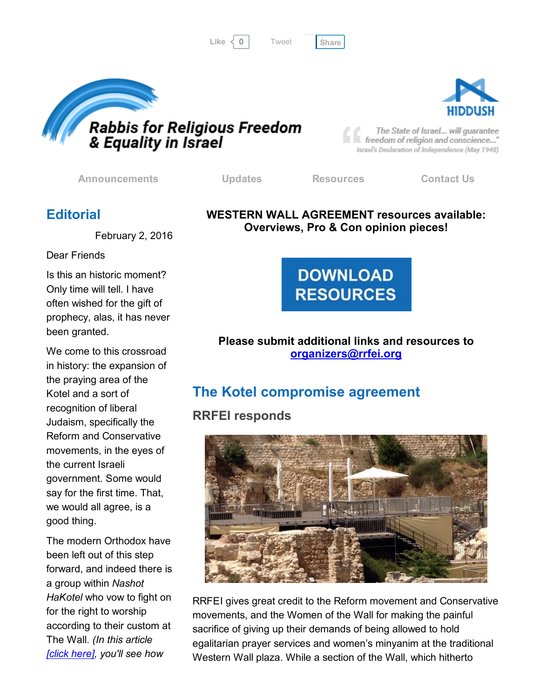```
Tweet
```




freedom of religion and conscience..." Israel's Declaration of Independence (May 1948)

[Announcements](http://rrfei.org/announcements/) [Updates](http://rrfei.org/about/rrfei-updates/) [Resources](http://rrfei.org/resources/) [Contact](http://rrfei.org/contact-us/) Us

### **Editorial**

February 2, 2016

Dear Friends

Is this an historic moment? Only time will tell. I have often wished for the gift of prophecy, alas, it has never been granted.

We come to this crossroad in history: the expansion of the praying area of the Kotel and a sort of recognition of liberal Judaism, specifically the Reform and Conservative movements, in the eyes of the current Israeli government. Some would say for the first time. That, we would all agree, is a good thing.

The modern Orthodox have been left out of this step forward, and indeed there is a group within *Nashot HaKotel* who vow to fight on for the right to worship according to their custom at The Wall. *(In this article [click [here\]](http://www.israelhayom.com/site/newsletter_article.php?id=31451), you'll see how*

#### WESTERN WALL AGREEMENT resources available: Overviews, Pro & Con opinion pieces!



#### Please submit additional links and resources to [organizers@rrfei.org](mailto:organizers@rrfei.org)

# The Kotel compromise agreement

### RRFEI responds



RRFEI gives great credit to the Reform movement and Conservative movements, and the Women of the Wall for making the painful sacrifice of giving up their demands of being allowed to hold egalitarian prayer services and women's minyanim at the traditional Western Wall plaza. While a section of the Wall, which hitherto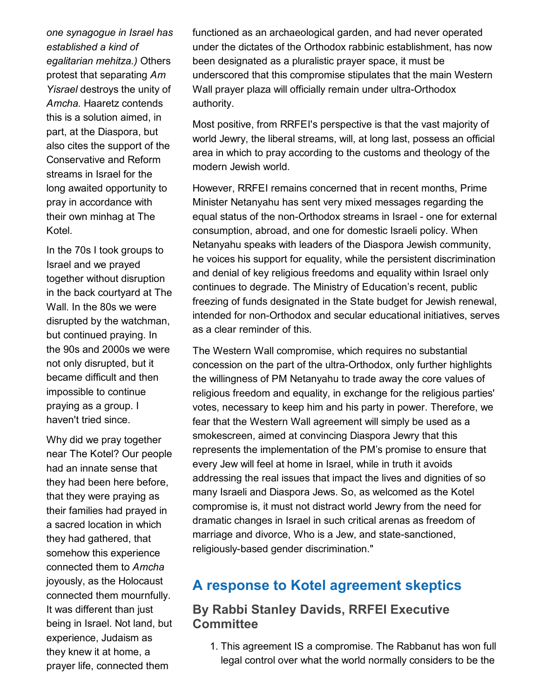*one synagogue in Israel has established a kind of egalitarian mehitza.)* Others protest that separating *Am Yisrael* destroys the unity of *Amcha.* Haaretz contends this is a solution aimed, in part, at the Diaspora, but also cites the support of the Conservative and Reform streams in Israel for the long awaited opportunity to pray in accordance with their own minhag at The Kotel.

In the 70s I took groups to Israel and we prayed together without disruption in the back courtyard at The Wall. In the 80s we were disrupted by the watchman, but continued praying. In the 90s and 2000s we were not only disrupted, but it became difficult and then impossible to continue praying as a group. I haven't tried since.

Why did we pray together near The Kotel? Our people had an innate sense that they had been here before, that they were praying as their families had prayed in a sacred location in which they had gathered, that somehow this experience connected them to *Amcha* joyously, as the Holocaust connected them mournfully. It was different than just being in Israel. Not land, but experience, Judaism as they knew it at home, a prayer life, connected them

functioned as an archaeological garden, and had never operated under the dictates of the Orthodox rabbinic establishment, has now been designated as a pluralistic prayer space, it must be underscored that this compromise stipulates that the main Western Wall prayer plaza will officially remain under ultra-Orthodox authority.

Most positive, from RRFEI's perspective is that the vast majority of world Jewry, the liberal streams, will, at long last, possess an official area in which to pray according to the customs and theology of the modern Jewish world.

However, RRFEI remains concerned that in recent months, Prime Minister Netanyahu has sent very mixed messages regarding the equal status of the non-Orthodox streams in Israel - one for external consumption, abroad, and one for domestic Israeli policy. When Netanyahu speaks with leaders of the Diaspora Jewish community, he voices his support for equality, while the persistent discrimination and denial of key religious freedoms and equality within Israel only continues to degrade. The Ministry of Education's recent, public freezing of funds designated in the State budget for Jewish renewal, intended for non-Orthodox and secular educational initiatives, serves as a clear reminder of this.

The Western Wall compromise, which requires no substantial concession on the part of the ultra-Orthodox, only further highlights the willingness of PM Netanyahu to trade away the core values of religious freedom and equality, in exchange for the religious parties' votes, necessary to keep him and his party in power. Therefore, we fear that the Western Wall agreement will simply be used as a smokescreen, aimed at convincing Diaspora Jewry that this represents the implementation of the PM's promise to ensure that every Jew will feel at home in Israel, while in truth it avoids addressing the real issues that impact the lives and dignities of so many Israeli and Diaspora Jews. So, as welcomed as the Kotel compromise is, it must not distract world Jewry from the need for dramatic changes in Israel in such critical arenas as freedom of marriage and divorce, Who is a Jew, and state-sanctioned, religiously-based gender discrimination."

## A response to Kotel agreement skeptics

#### By Rabbi Stanley Davids, RRFEI Executive **Committee**

1. This agreement IS a compromise. The Rabbanut has won full legal control over what the world normally considers to be the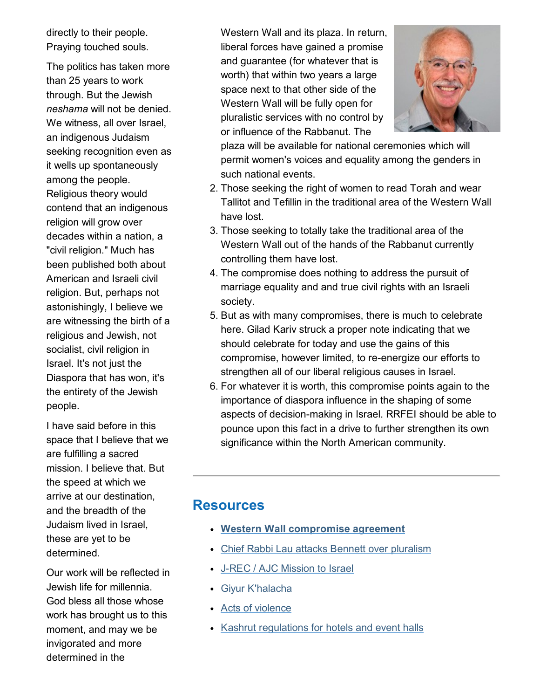directly to their people. Praying touched souls.

The politics has taken more than 25 years to work through. But the Jewish *neshama* will not be denied. We witness, all over Israel. an indigenous Judaism seeking recognition even as it wells up spontaneously among the people. Religious theory would contend that an indigenous religion will grow over decades within a nation, a "civil religion." Much has been published both about American and Israeli civil religion. But, perhaps not astonishingly, I believe we are witnessing the birth of a religious and Jewish, not socialist, civil religion in Israel. It's not just the Diaspora that has won, it's the entirety of the Jewish people.

I have said before in this space that I believe that we are fulfilling a sacred mission. I believe that. But the speed at which we arrive at our destination, and the breadth of the Judaism lived in Israel, these are yet to be determined.

Our work will be reflected in Jewish life for millennia. God bless all those whose work has brought us to this moment, and may we be invigorated and more determined in the

Western Wall and its plaza. In return, liberal forces have gained a promise and guarantee (for whatever that is worth) that within two years a large space next to that other side of the Western Wall will be fully open for pluralistic services with no control by or influence of the Rabbanut. The



plaza will be available for national ceremonies which will permit women's voices and equality among the genders in such national events.

- 2. Those seeking the right of women to read Torah and wear Tallitot and Tefillin in the traditional area of the Western Wall have lost.
- 3. Those seeking to totally take the traditional area of the Western Wall out of the hands of the Rabbanut currently controlling them have lost.
- 4. The compromise does nothing to address the pursuit of marriage equality and and true civil rights with an Israeli society.
- 5. But as with many compromises, there is much to celebrate here. Gilad Kariv struck a proper note indicating that we should celebrate for today and use the gains of this compromise, however limited, to re-energize our efforts to strengthen all of our liberal religious causes in Israel.
- 6. For whatever it is worth, this compromise points again to the importance of diaspora influence in the shaping of some aspects of decision-making in Israel. RRFEI should be able to pounce upon this fact in a drive to further strengthen its own significance within the North American community.

#### **Resources**

- Western Wall [compromise](http://rrfei.org/resources/western-wall-agreement-2016/) agreement
- Chief Rabbi Lau attacks Bennett over [pluralism](http://rrfei.org/resources/chief-rabbi-lau-slams-minister-bennett-winter-2015/)
- J-REC / AJC [Mission](http://rrfei.org/resources/ajc-j-rec-mission-to-israel-winter-2015/) to Israel
- Giyur [K'halacha](http://rrfei.org/resources/giyur-khalacha-summer-2015/)
- Acts of [violence](http://rrfei.org/resources/acts-of-violence-summer-2015/)
- Kashrut [regulations](http://rrfei.org/resources/kashrut-regulations-for-hotels-spring-2015/) for hotels and event halls